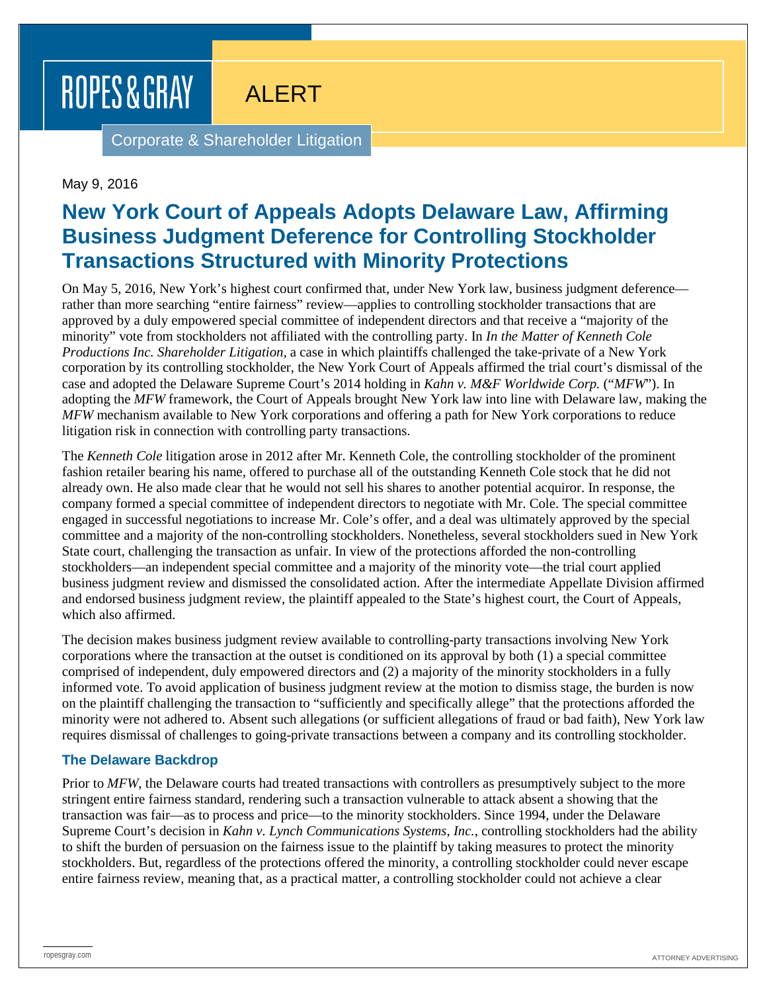# ROPES & GRAY

ALERT

Corporate & Shareholder Litigation

### May 9, 2016

# **New York Court of Appeals Adopts Delaware Law, Affirming Business Judgment Deference for Controlling Stockholder Transactions Structured with Minority Protections**

On May 5, 2016, New York's highest court confirmed that, under New York law, business judgment deference rather than more searching "entire fairness" review—applies to controlling stockholder transactions that are approved by a duly empowered special committee of independent directors and that receive a "majority of the minority" vote from stockholders not affiliated with the controlling party. In *In the Matter of Kenneth Cole Productions Inc. Shareholder Litigation*, a case in which plaintiffs challenged the take-private of a New York corporation by its controlling stockholder, the New York Court of Appeals affirmed the trial court's dismissal of the case and adopted the Delaware Supreme Court's 2014 holding in *Kahn v. M&F Worldwide Corp.* ("*MFW*"). In adopting the *MFW* framework, the Court of Appeals brought New York law into line with Delaware law, making the *MFW* mechanism available to New York corporations and offering a path for New York corporations to reduce litigation risk in connection with controlling party transactions.

The *Kenneth Cole* litigation arose in 2012 after Mr. Kenneth Cole, the controlling stockholder of the prominent fashion retailer bearing his name, offered to purchase all of the outstanding Kenneth Cole stock that he did not already own. He also made clear that he would not sell his shares to another potential acquiror. In response, the company formed a special committee of independent directors to negotiate with Mr. Cole. The special committee engaged in successful negotiations to increase Mr. Cole's offer, and a deal was ultimately approved by the special committee and a majority of the non-controlling stockholders. Nonetheless, several stockholders sued in New York State court, challenging the transaction as unfair. In view of the protections afforded the non-controlling stockholders—an independent special committee and a majority of the minority vote—the trial court applied business judgment review and dismissed the consolidated action. After the intermediate Appellate Division affirmed and endorsed business judgment review, the plaintiff appealed to the State's highest court, the Court of Appeals, which also affirmed.

The decision makes business judgment review available to controlling-party transactions involving New York corporations where the transaction at the outset is conditioned on its approval by both (1) a special committee comprised of independent, duly empowered directors and (2) a majority of the minority stockholders in a fully informed vote. To avoid application of business judgment review at the motion to dismiss stage, the burden is now on the plaintiff challenging the transaction to "sufficiently and specifically allege" that the protections afforded the minority were not adhered to. Absent such allegations (or sufficient allegations of fraud or bad faith), New York law requires dismissal of challenges to going-private transactions between a company and its controlling stockholder.

#### **The Delaware Backdrop**

Prior to *MFW*, the Delaware courts had treated transactions with controllers as presumptively subject to the more stringent entire fairness standard, rendering such a transaction vulnerable to attack absent a showing that the transaction was fair—as to process and price—to the minority stockholders. Since 1994, under the Delaware Supreme Court's decision in *Kahn v. Lynch Communications Systems, Inc.*, controlling stockholders had the ability to shift the burden of persuasion on the fairness issue to the plaintiff by taking measures to protect the minority stockholders. But, regardless of the protections offered the minority, a controlling stockholder could never escape entire fairness review, meaning that, as a practical matter, a controlling stockholder could not achieve a clear